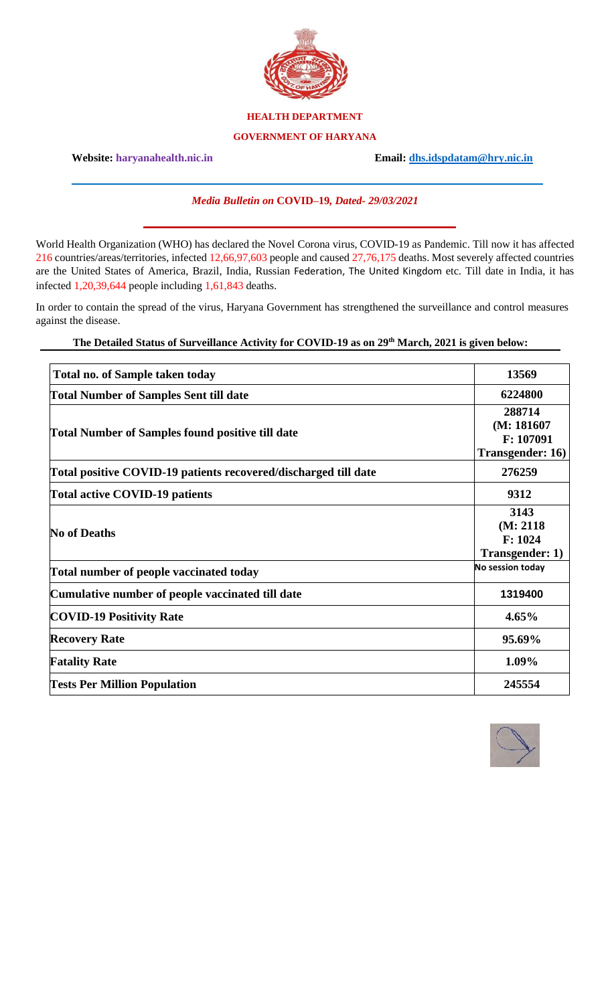

## **HEALTH DEPARTMENT**

## **GOVERNMENT OF HARYANA**

**Website: haryanahealth.nic.in Email: [dhs.idspdatam@hry.nic.in](mailto:dhs.idspdatam@hry.nic.in)**

*Media Bulletin on* **COVID–19***, Dated- 29/03/2021*

 $\mathcal{L}_\text{max}$  and  $\mathcal{L}_\text{max}$  and  $\mathcal{L}_\text{max}$  and  $\mathcal{L}_\text{max}$  and  $\mathcal{L}_\text{max}$ 

\_\_\_\_\_\_\_\_\_\_\_\_\_\_\_\_\_\_\_\_\_\_\_\_\_\_\_\_\_\_\_\_\_\_\_\_\_\_\_\_\_\_\_\_\_\_\_\_\_\_\_\_\_\_\_\_\_\_\_\_\_\_\_\_\_\_\_\_\_\_\_\_\_\_\_\_\_\_\_\_\_\_\_\_\_\_

World Health Organization (WHO) has declared the Novel Corona virus, COVID-19 as Pandemic. Till now it has affected 216 countries/areas/territories, infected 12,66,97,603 people and caused 27,76,175 deaths. Most severely affected countries are the United States of America, Brazil, India, Russian Federation, The United Kingdom etc. Till date in India, it has infected 1,20,39,644 people including 1,61,843 deaths.

In order to contain the spread of the virus, Haryana Government has strengthened the surveillance and control measures against the disease.

**The Detailed Status of Surveillance Activity for COVID-19 as on 29 th March, 2021 is given below:**

| <b>Total no. of Sample taken today</b>                          | 13569                                                         |  |  |  |
|-----------------------------------------------------------------|---------------------------------------------------------------|--|--|--|
| <b>Total Number of Samples Sent till date</b>                   | 6224800                                                       |  |  |  |
| <b>Total Number of Samples found positive till date</b>         | 288714<br>(M: 181607)<br>F: 107091<br><b>Transgender: 16)</b> |  |  |  |
| Total positive COVID-19 patients recovered/discharged till date | 276259                                                        |  |  |  |
| <b>Total active COVID-19 patients</b>                           | 9312                                                          |  |  |  |
| <b>No of Deaths</b>                                             | 3143<br>(M: 2118)<br>F: 1024<br><b>Transgender: 1)</b>        |  |  |  |
| Total number of people vaccinated today                         | No session today                                              |  |  |  |
| Cumulative number of people vaccinated till date                | 1319400                                                       |  |  |  |
| <b>COVID-19 Positivity Rate</b>                                 | $4.65\%$                                                      |  |  |  |
| <b>Recovery Rate</b>                                            | 95.69%                                                        |  |  |  |
| <b>Fatality Rate</b>                                            | 1.09%                                                         |  |  |  |
| <b>Tests Per Million Population</b>                             | 245554                                                        |  |  |  |

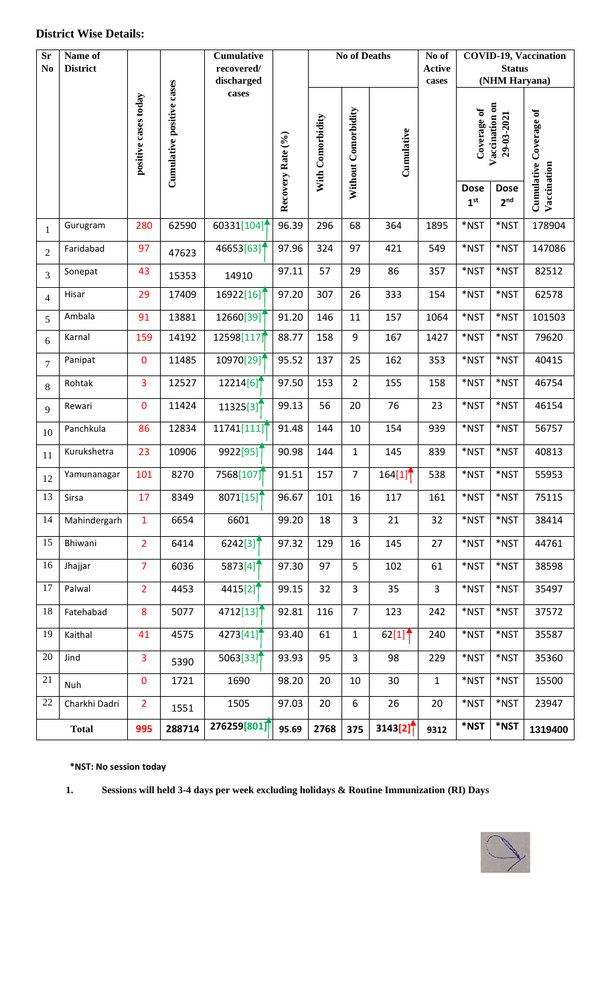## **District Wise Details:**

| <b>Sr</b><br>No | Name of<br><b>District</b> |                      |                           | <b>Cumulative</b><br>recovered/<br>discharged |                   | <b>No of Deaths</b> |                     |                      | No of<br><b>Active</b><br>cases |                                             | <b>Status</b><br>(NHM Haryana) | <b>COVID-19, Vaccination</b> |
|-----------------|----------------------------|----------------------|---------------------------|-----------------------------------------------|-------------------|---------------------|---------------------|----------------------|---------------------------------|---------------------------------------------|--------------------------------|------------------------------|
|                 |                            | positive cases today | Cumulative positive cases | cases                                         | Recovery Rate (%) | With Comorbidity    | Without Comorbidity | Cumulative           |                                 | Vaccination on<br>Coverage of<br>29-03-2021 |                                | Cumulative Coverage of       |
|                 |                            |                      |                           |                                               |                   |                     |                     |                      |                                 | <b>Dose</b><br>1 <sup>st</sup>              | <b>Dose</b><br>2 <sup>nd</sup> | Vaccination                  |
| $\mathbf{1}$    | Gurugram                   | 280                  | 62590                     | 60331[104] <sup><math>\dagger</math></sup>    | 96.39             | 296                 | 68                  | 364                  | 1895                            | *NST                                        | *NST                           | 178904                       |
| $\overline{2}$  | Faridabad                  | 97                   | 47623                     | 46653[63]1                                    | 97.96             | 324                 | 97                  | 421                  | 549                             | *NST                                        | *NST                           | 147086                       |
| 3               | Sonepat                    | 43                   | 15353                     | 14910                                         | 97.11             | 57                  | 29                  | 86                   | 357                             | *NST                                        | *NST                           | 82512                        |
| $\overline{4}$  | Hisar                      | 29                   | 17409                     | 16922[16]                                     | 97.20             | 307                 | 26                  | 333                  | 154                             | *NST                                        | *NST                           | 62578                        |
| 5               | Ambala                     | 91                   | 13881                     | 12660[39]                                     | 91.20             | 146                 | 11                  | 157                  | 1064                            | *NST                                        | *NST                           | 101503                       |
| 6               | Karnal                     | 159                  | 14192                     | 12598[117]                                    | 88.77             | 158                 | 9                   | 167                  | 1427                            | *NST                                        | *NST                           | 79620                        |
| $\overline{7}$  | Panipat                    | $\mathbf 0$          | 11485                     | 10970[29]                                     | 95.52             | 137                 | 25                  | 162                  | 353                             | *NST                                        | *NST                           | 40415                        |
| 8               | Rohtak                     | $\overline{3}$       | 12527                     | 12214[6]                                      | 97.50             | 153                 | $\overline{2}$      | 155                  | 158                             | *NST                                        | *NST                           | 46754                        |
| 9               | Rewari                     | $\mathbf 0$          | 11424                     | 11325[3]                                      | 99.13             | 56                  | 20                  | 76                   | 23                              | *NST                                        | *NST                           | 46154                        |
| 10              | Panchkula                  | 86                   | 12834                     | 11741[111]                                    | 91.48             | 144                 | 10                  | 154                  | 939                             | *NST                                        | *NST                           | 56757                        |
| 11              | Kurukshetra                | 23                   | 10906                     | 9922[95]                                      | 90.98             | 144                 | $\mathbf 1$         | 145                  | 839                             | *NST                                        | *NST                           | 40813                        |
| 12              | Yamunanagar                | 101                  | 8270                      | 7568[107]                                     | 91.51             | 157                 | $\overline{7}$      | 164[1]               | 538                             | $*$ NST                                     | *NST                           | 55953                        |
| 13              | Sirsa                      | 17                   | 8349                      | 8071[15]                                      | 96.67             | 101                 | 16                  | 117                  | 161                             | *NST                                        | *NST                           | 75115                        |
| 14              | Mahindergarh               | $\mathbf{1}$         | 6654                      | 6601                                          | 99.20             | 18                  | 3                   | 21                   | 32                              | *NST                                        | *NST                           | 38414                        |
| 15              | Bhiwani                    | $\overline{2}$       | 6414                      | 6242[3]                                       | 97.32             | 129                 | 16                  | 145                  | 27                              | $*$ NST                                     | *NST                           | 44761                        |
| 16              | Jhajjar                    | $\overline{7}$       | 6036                      | 5873[4] <sup>↑</sup>                          | 97.30             | 97                  | 5                   | 102                  | 61                              | *NST                                        | *NST                           | 38598                        |
| 17              | Palwal                     | $\overline{2}$       | 4453                      | 4415[2] <sup>†</sup>                          | 99.15             | 32                  | 3                   | 35                   | $\overline{3}$                  | *NST                                        | *NST                           | 35497                        |
| 18              | Fatehabad                  | 8                    | 5077                      | 4712[13]                                      | 92.81             | 116                 | $\overline{7}$      | 123                  | 242                             | $^{\ast}$ NST                               | *NST                           | 37572                        |
| 19              | Kaithal                    | 41                   | 4575                      | 4273[41]                                      | 93.40             | 61                  | $\mathbf{1}$        | $62[1]$ <sup>1</sup> | 240                             | *NST                                        | *NST                           | 35587                        |
| 20              | Jind                       | 3                    | 5390                      | 5063[33]                                      | 93.93             | 95                  | 3                   | 98                   | 229                             | *NST                                        | *NST                           | 35360                        |
| 21              | Nuh                        | 0                    | 1721                      | 1690                                          | 98.20             | 20                  | 10                  | 30                   | $\mathbf{1}$                    | *NST                                        | *NST                           | 15500                        |
| $22\,$          | Charkhi Dadri              | $\overline{2}$       | 1551                      | 1505                                          | 97.03             | 20                  | 6                   | 26                   | 20                              | *NST                                        | *NST                           | 23947                        |
|                 | <b>Total</b>               | 995                  | 288714                    | 276259[801]                                   | 95.69             | 2768                | 375                 | $3143[2]^{2}$        | 9312                            | $*$ NST                                     | $*$ NST                        | 1319400                      |

 **\*NST: No session today**

**1. Sessions will held 3-4 days per week excluding holidays & Routine Immunization (RI) Days**